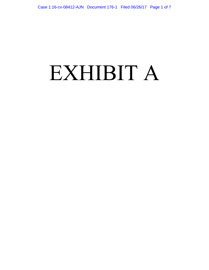# EXHIBIT A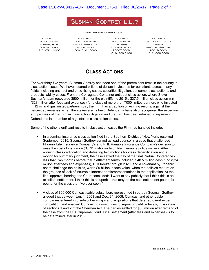### SUSMAN GODFREY L.L.P

www.susmangodfrey.com

**SUITE 5100** 1000 Louisiana Houston, Texas 77002-5096 (713) 651 - 9366

**SUITE 3800** 1201 Third Avenue 1901Avenue of Seattle, Washington 98101-3000 (206) 516 - 3880

Suite 950 the Stars Los Angeles, Ca 90067-6029 (310) 789-3100

32<sup>ND</sup> FLOOR 1301 ANVENUE OF THE **AMERICAS NEW YORK, NEW YORK** 10019-6023 (212) 336-8330

## **CLASS ACTIONS**

For over thirty-five years, Susman Godfrey has been one of the preeminent firms in the country in class action cases. We have secured billions of dollars in victories for our clients across many fields, including antitrust and price-fixing cases, securities litigation, consumer class actions, and products liability cases. From the Corrugated Container antitrust class action, where Steve Susman's team recovered \$500 million for the plaintiffs, to 2015's \$37.5 million class action win (\$23 million after fees and expenses) for a class of more than 7000 limited partners who invested in 12 oil and gas limited partnerships , the Firm has a tradition of winning results, against the fiercest adversaries, when the stakes are highest. Defendants have also recognized the expertise and prowess of the Firm in class action litigation and the Firm has been retained to represent Defendants in a number of high stakes class action cases.

Some of the other significant results in class action cases the Firm has handled include:

- In a seminal insurance class action filed in the Southern District of New York, resolved in September 2015, Susman Godfrey served as lead counsel in a case that challenged Phoenix Life Insurance Company's and PHL Variable Insurance Company's decision to raise the cost of insurance ("COI") nationwide on life insurance policy owners. After winning class certification and defeating two motions for class decertification and a motion for summary judgment, the case settled the day of the final Pretrial Conference less than two months before trial. Settlement terms included: \$48.5 million cash fund (\$34 million after fees and expenses), COI freeze through 2020, and a covenant by Phoenix not to challenge the policies, worth \$9 billion in face value, when the policies mature on the grounds of lack of insurable interest or misrepresentations in the application. At the final approval hearing, the Court concluded: "I want to say publicly that I think this is an excellent settlement. I think this is a superb – this may be the best settlement pound for pound for the class that I've ever seen."
- A class of 800,000 Comcast cable subscribers represented in part by Susman Godfrey alleged that between Jan. 1, 2003 and Dec. 31, 2008, Comcast and other cable companies entered into subscriber swaps and acquisitions that deterred over-builder competition and enabled Comcast to raise prices to supracompetitive levels, in violation of sections 1 and 2 of the Sherman Act. The parties settled for \$50 million after remand of the case from the U.S. Supreme Court. Final settlement (after fees and expenses) is to be determined later in 2015.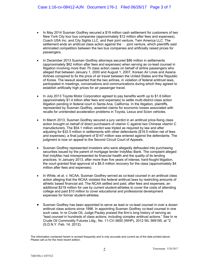- In May 2014 Susman Godfrey secured a \$19 million cash settlement for customers of two New York City tour bus companies (approximately \$12 million after fees and expenses), Coach USA Inc. and City Sights LLC, and their joint venture, Twin America LLC. The settlement ends an antitrust class action against the  $\Box$  joint venture, which plaintiffs said eliminated competition between the two bus companies and artificially raised prices for passengers.
- In December 2013 Susman Godfrey attorneys secured \$86 million in settlements (approximately \$62 million after fees and expenses) when serving as co-lead counsel in litigation involving more than 70 class action cases on behalf of airline passengers who alleged that between January 1, 2000 and August 1, 2007, Korean Air Lines and Asiana Airlines conspired to fix the price of air travel between the United States and the Republic of Korea. The lawsuit asserted that the two airlines, in violation of federal antitrust laws, participated in meetings, conversations and communications during which they agreed to establish artificially high prices for air passenger travel.
- In July 2013 Toyota Motor Corporation agreed to pay benefits worth up to \$1.6 billion (approximately \$1.4 billion after fees and expenses) to settle multi-district class action litigation pending in federal court in Santa Ana, California. In the litigation, plaintiffs, represented by Susman Godfrey, asserted claims for economic losses associated with recalls for unintended acceleration problems in Toyota, Lexus and Scion vehicles.
- In March 2013, Susman Godfrey secured a jury verdict in an antitrust price-fixing class action brought on behalf of direct purchasers of vitamin C against two Chinese vitamin C manufacturers. The \$54.1 million verdict was tripled as required by law and after adjusting for \$32.5 million in settlements with other defendants (\$19.5 million net of fees and expenses), a final judgment of \$147 million was entered against the defendants. The judgment is now on appeal to the Second Circuit Court of Appeals.
- Susman Godfrey represented investors who were allegedly defrauded into purchasing securities issued by the parent of mortgage lender IndyMac Bank. The complaint alleged that IndyMac had misrepresented its financial health and the quality of its lending practices. In January 2013, after more than five years of intense, hard-fought litigation, the court granted final approval of a \$6.5 million recovery for the class (approximately \$4 million after fees and expenses).
- In White, et al. v. NCAA, Susman Godfrey served as co-lead counsel in an antitrust class action alleging that the NCAA violated the federal antitrust laws by restricting amounts of athletic based financial aid. The NCAA settled and paid, after fees and expenses, an additional \$218 million for use by current student-athletes to cover the costs of attending college and paid \$10 million to cover educational and professional development expenses for former student-athletes.
- Susman Godfrey has been appointed to serve as lead or co-lead counsel in over a dozen antitrust class actions since 1996. In appointing Susman Godfrey co-lead counsel in one such case, In re Crude Oil, Judge Pauley praised the firm's long history of serving as "lead counsel in hundreds of class actions, including complex antitrust actions." See In re Crude Oil Commodity Futures Litig., No. 11-CV-3600 (WHP), 2012 WL 569195, at \*2 (S.D.N.Y. Feb. 14, 2012).

The information contained herein is revised frequently and is only accurate and current as of the date printed above. Please call us for the most recent edition.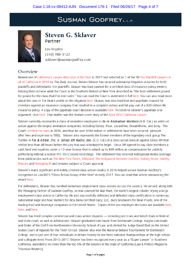## **SUSMAN GODFREYLLE**



## Steven G. Sklaver Partner

Los Angeles (310) 789-3123 ssklaver@susmangodfrey.com

## Overview

[Named one of C](http://www.susmangodfrey.com/media/1844/sskl_-_dj-2016_top_plaintiff_lawyers.pdf)[alifornia's Lawyer Attorneys of the Yea](http://www.susmangodfrey.com/media/1967/susman-dj-2017-clay.pdf)[r in 2017 and selected as 1 of the 30 Top Plaintiff Lawyers in](http://www.susmangodfrey.com/media/1844/sskl_-_dj-2016_top_plaintiff_lawyers.pdf) all of California in 2016 by The Daily Journal, Steven Sklaver has secured substantial litigation victories for both plaintiffs and defendants. For plaintiffs, Sklaver was lead counsel for a certified class of insurance policy owners, helping them achieve what the Court in the Southern District of New York described as "the best settlement pound for pound for the class that I've ever seen." You can read the Court's statement in f[ull here.](http://www.susmangodfrey.com/media/1334/phoenix-closing_transcript.pdf) You can also read more about the case in The Deal's profile on the litigatio[n here.](http://www.susmangodfrey.com/media/1332/phoenix_final.pdf) Sklaver was also lead trial and appellate counsel for investors against an insurance company that resulted in a complete victory and full pay-out of a \$20 million life insurance policy. A copy of the appellate court decision is availabl[e here](http://www.susmangodfrey.com/media/1333/ssklaver_-_teren_court_of_appeal_decision.pdf). To listen to Sklaver's appellate oral argument, clic[k here.](http://www.susmangodfrey.com/media/1850/4d1_court_of_appeal_edited.mp3) That matter was the feature cover story of t[he April 2012 California Lawyer.](https://ww2.callawyer.com/clstory.cfm?eid=921395)

Sklaver currently represents a class of animation employees in *In re Animation Workers* (N.D. Cal.) an antitrust action against the largest animation companies, including Disney, Pixar, Lucasfilms, DreamWorks, and Sony. The Cour[t certified the class](http://www.susmangodfrey.com/media/1845/2016-05-25-order-dckt-289_0-2.pdf) in 2016, and thus far over \$168 million in settlements have been secured (amount after fees and expenses is TBD). Sklaver also represents the former members of the legendary rock group The Turtles in Flo & Eddie, Inc. v. Sirius XM Radio, Inc. (C.D. Cal.) in a class action lawsuit against Sirius XM that settled less than 48 hours before the jury trial was scheduled to begin. Sirius XM agreed to pay class members a cash fund and royalties under a 10-year license that is valued up to \$99 million as compensation for publicly performing without a license Pre-1972 sound recordings. The settlement has received widespread media coverage from publications such [as The New York Times](http://mobile.nytimes.com/2016/11/29/arts/music/turtles-siriusxm-1972-copyright-settlement.html?smprod=nytcore-iphone&smid=nytcore-iphone-share&_r=0&referer)[, Billboard](http://www.billboard.com/biz/articles/7588977/siriusxm-could-pay-up-to-99m-as-part-of-flo-eddie-settlement)[, The Hollywood Reporter](http://www.hollywoodreporter.com/thr-esq/siriusxm-could-pay-up-99m-as-part-flo-eddie-settlement-950914)[,Law360](https://www.law360.com/articles/866707)[, Rolling Stone](http://www.rollingstone.com/music/news/siriusxm-settles-turtles-copyright-lawsuit-for-99-million-w452890)[, Variety,](http://variety.com/2016/biz/news/siriusxm-turtles-pre-1972-recordings-lawsuit-settlement-1201929173/) [Reuters](http://www.reuters.com/article/us-sirius-xm-holdgs-settlement-turtles-idUSKBN13O2JJ) an[d Managing IP](http://www.managingip.com/Blog/3602164/Flo-and-Eddie-SiriusXM-Usher-Justin-Bieber-women-inventors-Donald-Trump-Amazon-Cuba-trade-marksthe.html) and remains subject to Court approval.

Sklaver's many significant and widely covered class action results in 2016 helped secure Susman Godfrey's recognition as Law360's "Class Action Group of the Year" in early 2017. You can read that article announcing the awar[d here](http://www.susmangodfrey.com/media/1938/class-action-group-of-the-year-susman-godfrey.pdf).

For defendants, Sklaver has handled numerous employment class actions across the country. He served, along with the Managing Partner of Susman Godfrey, as trial counsel for Wal-Mart, the world's largest retailer, trying a large employment class action in California. He also successfully defended and defeated class certification in numerous, substantial wage and hour matters for Alta-Dena Certified Dairy, LLC, dairy producers for Dean Foods, one of the leading food and beverage companies in the United States. Copies of the pro-employer decisions are availabl[e here](http://www.susmangodfrey.com/media/1846/2016-10-25-alta-dena-dkt-73-order-denying-plaintiffs-class-cert-motion.pdf), [here](http://www.susmangodfrey.com/media/1847/16925082-0-31835.pdf), an[d here.](http://www.susmangodfrey.com/media/1848/show_temppl-9.pdf)

Sklaver has tried complex commercial and class action disputes — including jury trials and bench trials in federal and state court, as well as arbitrations. Sklaver graduated cum laude from Dartmouth College, magna cum laude and Order of the Coif from Northwestern University School of Law, and clerked for Judge David Ebel on the United States Court of Appeals for the Tenth Circuit. Sklaver also won the National Debate Tournament for Dartmouth College, and is just one of four individuals in debate history to win three national championships at the high school and collegiate level. From 2010-2017, Sklaver has been recognized every year as a "Super Lawyer" in Southern California, awarded to no more than the top 5% of the lawyers in the state of California (Law & Politics Magazine, Thomson Reuters).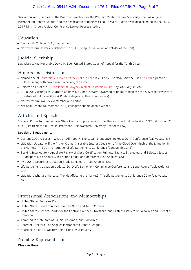#### Case 1:16-cv-08412-AJN Document 176-1 Filed 06/26/17 Page 5 of 7

Sklaver currently serves on the Board of Directors for the Western Center on Law & Poverty, the Los Angeles Metropolitan Debate League, and the Association of Business Trial Lawyers. Sklaver was also selected as the 2016- 2017 Ninth Circuit Judicial Conference Lawyer Representative

## Education

- Dartmouth College (B.A., cum laude)
- Northwestern University School of Law (J.D., magna cum laude and Order of the Coif)

## Judicial Clerkship

Law Clerk to the Honorable David M. Ebel, United States Court of Appeal for the Tenth Circuit

### Honors and Distinctions

- Named one of [California's Lawyer Attorneys of the Year](http://www.susmangodfrey.com/media/1967/susman-dj-2017-clay.pdf) in 2017 by The Daily Journal. Click [here](http://www.susmangodfrey.com/media/1971/0323-ldj-clay-turtles-2.jpg) for a photo of Sklaver, along with co-counsel, receiving the award.
- Selected as 1 of the 30 [Top Plaintiff Lawyers in all of California in 2016](http://www.susmangodfrey.com/media/1844/sskl_-_dj-2016_top_plaintiff_lawyers.pdf) by The Daily Journal
- 2010-2017 listings of Southern California "Super Lawyers" awarded to no more than the top 5% of the lawyers in the state of California (Law & Politics Magazine, Thomson Reuters)
- Northwestern Law Review member and editor
- National Debate Tournament (NDT) collegiate championship winner

## Articles and Speeches

"Federal Power to Commandeer State Courts: Implications for the Theory of Judicial Federalism," 32 Ind. L. Rev. 71 (1998) (with Martin H. Redish, Professor, Northwestern University School of Law).

#### Speaking Engagements

- Current COI Increases What's it All About? The Legal Perspective. ReFocus2017 Conference (Las Vegas, NV)
- Litigation Update: Will the Arthur Kramer Insurable-Interest Decision Lift the Cloud Over Much of the Litigation in the Market? The 2011 International Life Settlements Conference (London, England)
- Seeking Interlocutory Appellate Review of Class-Certification Rulings: Tactics, Strategies, and Selected Issues. Bridgeport 10th Annual Class Action Litigation Conference (Los Angeles, CA)
- PwC 2010 Securities Litigation Study Luncheon. (Los Angeles, CA)
- Life Settlement Litigation Update. 2010 Life Settlement Compliance Conference and Legal Round Table (Atlanta, GA)
- Litigation: What are the Legal Trends Affecting the Market? The Life Settlements Conference 2010 (Las Vegas, NV)

### Professional Associations and Memberships

- United States Supreme Court
- United States Court of Appeals for the Ninth and Tenth Circuits
- United States District Courts for the Central, Southern, Northern, and Eastern Districts of California and District of Colorado
- Admitted to state bars of Illinois, Colorado, and California
- Board of Directors, Los Angeles Metropolitan Debate League
- Board of Directors, Western Center on Law & Poverty

## Notable Representations

Class Actions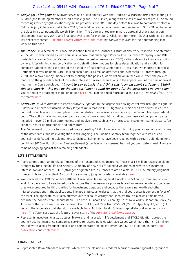#### Case 1:16-cv-08412-AJN Document 176-1 Filed 06/26/17 Page 6 of 7

- Copyright Infringement: Sklaver serves as co-lead counsel with the Gradstein & Marzano firm representing Flo & Eddie (the founding members of 70's music group, The Turtles) along with a class of owners of pre-1972 sound recordings for copyright violations by music provider Sirius XM. The day before trial was to commence before a California jury in federal court in late 2016, Flo & Eddie reached a landmark settlement with Sirius XM on behalf of the class in a deal potentially worth \$99 million. The Court granted preliminary approval of that class action settlement in January 2017 and final approval is set for May 2017. Click [here](http://www.susmangodfrey.com/news-awards/sg-news/gradstein-marzano-and-susman-godfrey-secure-settlement-valued-at-up-to-99-million-settlement-for-the-turtles-and-other-owners-of-pre-1972-sound-recordings-in-class-action-against-sirius-xm-radio/) for more. Sklaver with his co-leads were recently named ["California Lawyer Attorneys of the Year](http://www.susmangodfrey.com/media/1968/susman-dj-2017-clay.pdf)" by The Daily Journal for their outstanding legal work on this case.
- Insurance: In a seminal insurance class action filed in the Southern District of New York, resolved in September 2015, Mr. Sklaver served as lead counsel in a case that challenged Phoenix Life Insurance Company's and PHL Variable Insurance Company's decision to raise the cost of insurance ("COI") nationwide on life insurance policy owners. After winning class certification and defeating two motions for class decertification and a motion for summary judgment, the case settled the day of the final Pretrial Conference — less than two months before trial. Settlement terms included: \$48.5 million cash fund (\$34 million after fees and expenses), COI freeze through 2020, and a covenant by Phoenix not to challenge the policies, worth \$9 billion in face value, when the policies mature on the grounds of lack of insurable interest or misrepresentations in the application. At the final approval hearing, the Court concluded, "I want to say publicly that I think this is an excellent settlement. I think this is a superb – this may be the best settlement pound for pound for the class that I've ever seen." You can read the statement in full on page 3 [here.](http://www.susmangodfrey.com/media/1334/phoenix-closing_transcript.pdf) You can also read more about the case in The Deal's feature on the matter [here](http://www.susmangodfrey.com/media/1332/phoenix_final.pdf).
- Antitrust: In In re Automotive Parts Antitrust Litigation. In the largest price-fixing cartel ever brought to light, Mr. Sklaver and a team of Susman Godfrey lawyers run a massive MDL litigation in which the firm serves as co-lead counsel for a class of consumer plaintiffs in multidistrict price-fixing cases pending in a Detroit, Michigan federal court. The actions, alleging anti-competitive conduct, were brought by indirect purchasers of component parts included in over 20 million automobiles, and involve parts such as wire harnesses, instrument panel clusters, fuel senders, heater control panels and alternators.

The Department of Justice has imposed fines exceeding \$2.6 billion pursuant to guilty plea agreements with some of the defendants, and its investigation is still ongoing. The Susman Godfrey team together with its co-lead counsel has defeated multiple motions to dismiss. Settlements have been reached with a certain defendants for a combined \$620 million thus far. Final settlement (after fees and expenses) has not yet been determined. The case remains ongoing against the remaining defendants.

#### LIFE SETTLEMENTS

- Represented Jonathan Berck, as Trustee of the Rosamond Janis Insurance Trust in a \$5 million rescission claim brought by the Lincoln Life and Annuity Company of New York for alleged violations of New York's insurable interest laws and other "STOLI" (stranger originated life insurance) related claims. RESULT: Summary judgment granted in favor of my client. A copy of the summary judgment order is available [here.](http://www.susmangodfrey.com/media/1339/ssklaver_-_janis.pdf)
- Won reversal in a \$20 million life settlement rescission lawsuit against Lincoln Life & Annuity Company of New York. Lincoln's lawsuit was based on allegations that the insurance policies lacked an insurable interest because they were procured by third-parties for investment purposes and because there were net worth and other misrepresentations in the applications. The appellate court ordered that the trial court enter judgment in favor of the trust. The appellate court also affirmed our trial court victory that Lincoln's fraud claim was time barred because the policies were incontestable. The case is Lincoln Life & Annuity Co. of New York v. Jonathan Berck, as Trustee of the Jack Teren Insurance Trust, Court of Appeal Case No. D056373 (Cal. Ct. App. May 17, 2011). A [copy of the appellate court decision is available](http://www.susmangodfrey.com/content/documents/R-Z/Sklaver_S/Audio/4D1_COURT_OF_APPEAL_Edited.mp3) [here](http://www.susmangodfrey.com/media/1333/ssklaver_-_teren_court_of_appeal_decision.pdf)[. To listen to Mr. Sklaver's appellate oral argument, click](http://www.susmangodfrey.com/content/documents/R-Z/Sklaver_S/Audio/4D1_COURT_OF_APPEAL_Edited.mp3) here. The Teren case was the feature, cover story of the April 2012 [California Lawyer](http://www.callawyer.com/clstory.cfm?eid=921395).
- Represents investors, trusts, trustees, brokers, and insureds in life settlement and STOLI litigation across the country against insurance companies seeking to rescind policies with face values worth more than \$125 million. [Mr. Sklaver is also a frequent speaker and commentator on life settlement and STOLI litigation, in both trade](http://www.susmangodfrey.com/media/1338/sskl_-_trade_publications.pdf) publications and [conferences](http://www.susmangodfrey.com/media/1337/sskl_-_conferences.pdf).

#### FINANCIAL FRAUD

Represented Royal Standard Minerals, which was the plaintiff in a federal securities lawsuit against a "group" of